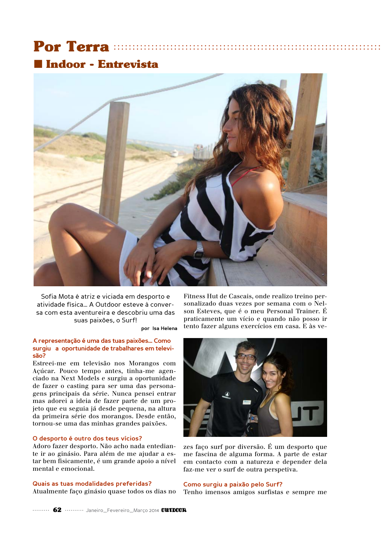# **Indoor - Entrevista**



Sofia Mota é atriz e viciada em desporto e atividade física... A Outdoor esteve à conversa com esta aventureira e descobriu uma das suas paixões, o Surf!

por Isa Helena

### A representação é uma das tuas paixões... Como surgiu a oportunidade de trabalhares em televisão?

Estreei-me em televisão nos Morangos com Açúcar. Pouco tempo antes, tinha-me agenciado na Next Models e surgiu a oportunidade de fazer o casting para ser uma das personagens principais da série. Nunca pensei entrar mas adorei a ideia de fazer parte de um projeto que eu seguia já desde pequena, na altura da primeira série dos morangos. Desde então, tornou-se uma das minhas grandes paixões.

# O desporto é outro dos teus vícios?

Adoro fazer desporto. Não acho nada entediante ir ao ginásio. Para além de me ajudar a estar bem fisicamente, é um grande apoio a nível mental e emocional.

# Quais as tuas modalidades preferidas?

Atualmente faço ginásio quase todos os dias no

Fitness Hut de Cascais, onde realizo treino personalizado duas vezes por semana com o Nelson Esteves, que é o meu Personal Trainer. É praticamente um vício e quando não posso ir tento fazer alguns exercícios em casa. E às ve-



zes faco surf por diversão. É um desporto que me fascina de alguma forma. A parte de estar em contacto com a natureza e depender dela faz-me ver o surf de outra perspetiva.

#### Como surgiu a paixão pelo Surf?

Tenho imensos amigos surfistas e sempre me